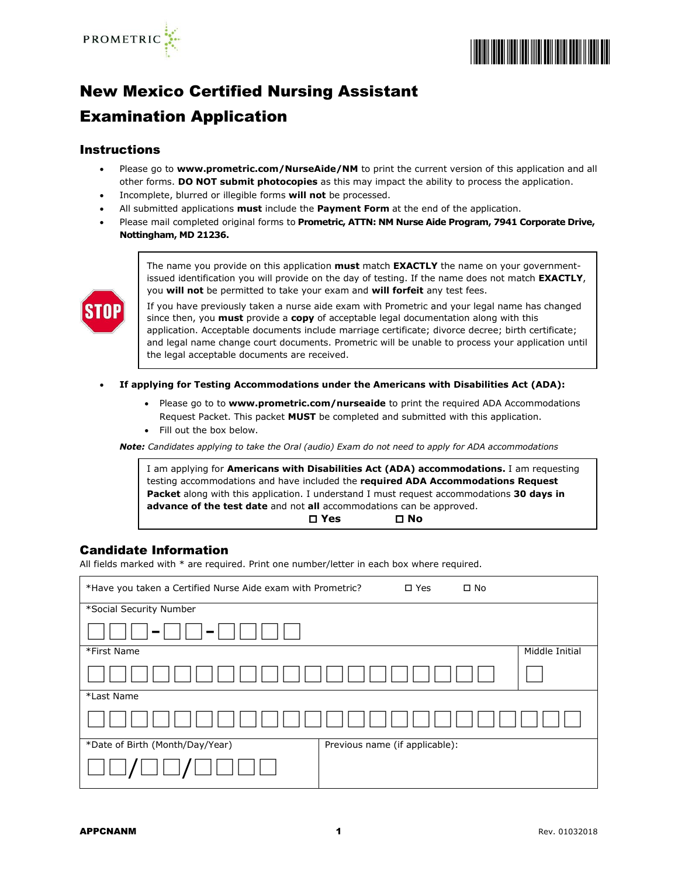



# New Mexico Certified Nursing Assistant

## Examination Application

#### Instructions

- Please go to **[www.prometric.com/NurseAide/NM](http://www.prometric.com/NurseAide/NM)** to print the current version of this application and all other forms. **DO NOT submit photocopies** as this may impact the ability to process the application.
- Incomplete, blurred or illegible forms **will not** be processed.
- All submitted applications **must** include the **Payment Form** at the end of the application.
- Please mail completed original forms to **Prometric, ATTN: NM Nurse Aide Program, 7941 Corporate Drive, Nottingham, MD 21236.**



The name you provide on this application **must** match **EXACTLY** the name on your governmentissued identification you will provide on the day of testing. If the name does not match **EXACTLY**, you **will not** be permitted to take your exam and **will forfeit** any test fees.

If you have previously taken a nurse aide exam with Prometric and your legal name has changed since then, you **must** provide a **copy** of acceptable legal documentation along with this application. Acceptable documents include marriage certificate; divorce decree; birth certificate; and legal name change court documents. Prometric will be unable to process your application until the legal acceptable documents are received.

- **If applying for Testing Accommodations under the Americans with Disabilities Act (ADA):**
	- Please go to to [www.prometric.com/nurseaide](http://www.prometric.com/nurseaide) to print the required ADA Accommodations Request Packet. This packet **MUST** be completed and submitted with this application.
	- Fill out the box below.

*Note: Candidates applying to take the Oral (audio) Exam do not need to apply for ADA accommodations*

I am applying for **Americans with Disabilities Act (ADA) accommodations.** I am requesting testing accommodations and have included the **required ADA Accommodations Request Packet** along with this application. I understand I must request accommodations **30 days in advance of the test date** and not **all** accommodations can be approved. **Yes No**

#### Candidate Information

All fields marked with \* are required. Print one number/letter in each box where required.

| *Have you taken a Certified Nurse Aide exam with Prometric?<br>$\square$ No<br>$\square$ Yes |                |  |  |  |
|----------------------------------------------------------------------------------------------|----------------|--|--|--|
| *Social Security Number                                                                      |                |  |  |  |
| -                                                                                            |                |  |  |  |
| *First Name                                                                                  | Middle Initial |  |  |  |
|                                                                                              |                |  |  |  |
| *Last Name                                                                                   |                |  |  |  |
|                                                                                              |                |  |  |  |
| *Date of Birth (Month/Day/Year)<br>Previous name (if applicable):                            |                |  |  |  |
|                                                                                              |                |  |  |  |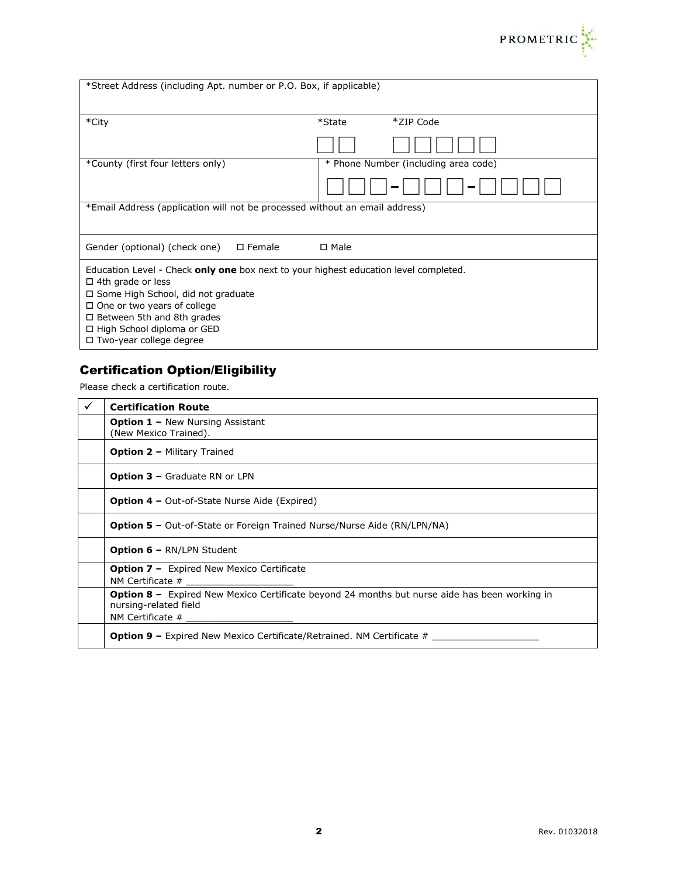

| *Street Address (including Apt. number or P.O. Box, if applicable)                                                                                                                                                                                                                                    |                                      |  |  |  |
|-------------------------------------------------------------------------------------------------------------------------------------------------------------------------------------------------------------------------------------------------------------------------------------------------------|--------------------------------------|--|--|--|
| *City                                                                                                                                                                                                                                                                                                 | *ZIP Code<br>*State                  |  |  |  |
|                                                                                                                                                                                                                                                                                                       |                                      |  |  |  |
| *County (first four letters only)                                                                                                                                                                                                                                                                     | * Phone Number (including area code) |  |  |  |
|                                                                                                                                                                                                                                                                                                       |                                      |  |  |  |
| *Email Address (application will not be processed without an email address)                                                                                                                                                                                                                           |                                      |  |  |  |
| Gender (optional) (check one)<br>$\square$ Female                                                                                                                                                                                                                                                     | □ Male                               |  |  |  |
| Education Level - Check only one box next to your highest education level completed.<br>$\Box$ 4th grade or less<br>□ Some High School, did not graduate<br>$\Box$ One or two years of college<br>$\Box$ Between 5th and 8th grades<br>□ High School diploma or GED<br>$\Box$ Two-year college degree |                                      |  |  |  |

### Certification Option/Eligibility

Please check a certification route.

| ✓ | <b>Certification Route</b>                                                                                                    |
|---|-------------------------------------------------------------------------------------------------------------------------------|
|   | <b>Option 1 - New Nursing Assistant</b><br>(New Mexico Trained).                                                              |
|   | <b>Option 2 - Military Trained</b>                                                                                            |
|   | <b>Option 3 - Graduate RN or LPN</b>                                                                                          |
|   | <b>Option 4 –</b> Out-of-State Nurse Aide (Expired)                                                                           |
|   | <b>Option 5 -</b> Out-of-State or Foreign Trained Nurse/Nurse Aide (RN/LPN/NA)                                                |
|   | <b>Option 6 – RN/LPN Student</b>                                                                                              |
|   | <b>Option 7 -</b> Expired New Mexico Certificate<br>NM Certificate #                                                          |
|   | <b>Option 8 -</b> Expired New Mexico Certificate beyond 24 months but nurse aide has been working in<br>nursing-related field |
|   | <b>Option 9 –</b> Expired New Mexico Certificate/Retrained. NM Certificate $#$                                                |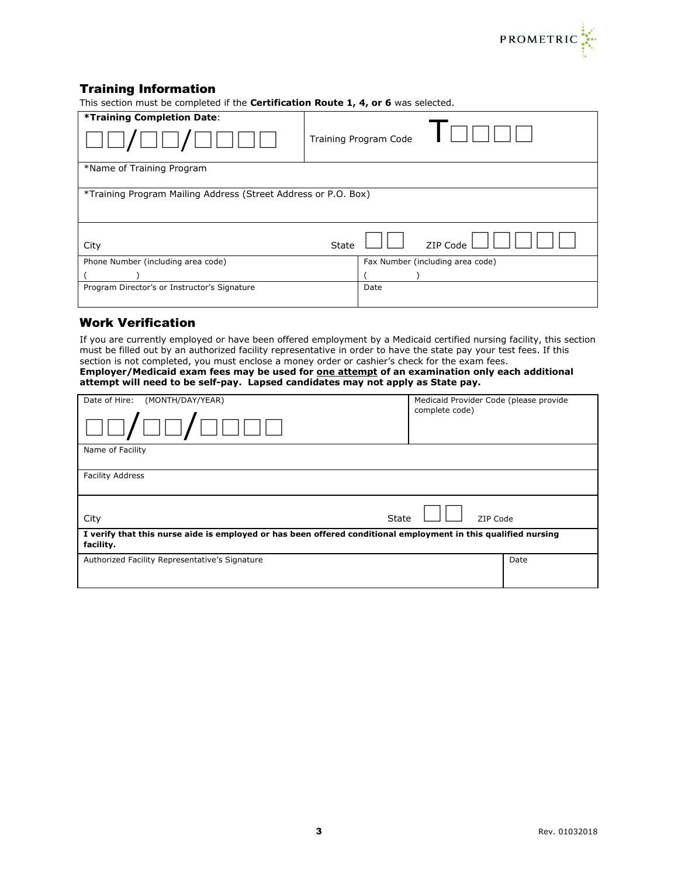

### Training Information

This section must be completed if the **Certification Route 1, 4, or 6** was selected.

| *Training Completion Date:                                     |       | Training Program Code            |  |  |
|----------------------------------------------------------------|-------|----------------------------------|--|--|
| *Name of Training Program                                      |       |                                  |  |  |
| *Training Program Mailing Address (Street Address or P.O. Box) |       |                                  |  |  |
| City                                                           | State | ZIP Code                         |  |  |
| Phone Number (including area code)                             |       | Fax Number (including area code) |  |  |
|                                                                |       |                                  |  |  |
| Program Director's or Instructor's Signature                   |       | Date                             |  |  |

#### Work Verification

If you are currently employed or have been offered employment by a Medicaid certified nursing facility, this section must be filled out by an authorized facility representative in order to have the state pay your test fees. If this section is not completed, you must enclose a money order or cashier's check for the exam fees. **Employer/Medicaid exam fees may be used for one attempt of an examination only each additional attempt will need to be self-pay. Lapsed candidates may not apply as State pay.**

| Date of Hire:<br>(MONTH/DAY/YEAR)                                                                                           | Medicaid Provider Code (please provide<br>complete code) |      |  |  |
|-----------------------------------------------------------------------------------------------------------------------------|----------------------------------------------------------|------|--|--|
| Name of Facility                                                                                                            |                                                          |      |  |  |
| <b>Facility Address</b>                                                                                                     |                                                          |      |  |  |
| <b>State</b><br>City                                                                                                        | ZIP Code                                                 |      |  |  |
| I verify that this nurse aide is employed or has been offered conditional employment in this qualified nursing<br>facility. |                                                          |      |  |  |
| Authorized Facility Representative's Signature                                                                              |                                                          | Date |  |  |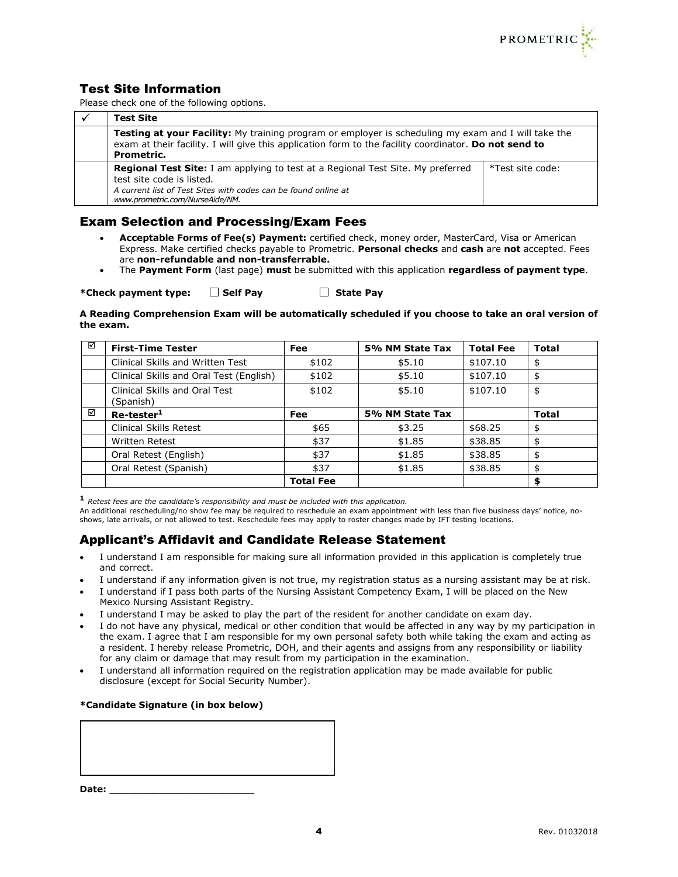

### Test Site Information

Please check one of the following options.

| <b>Test Site</b>                                                                                                                                                                                                                  |                  |  |
|-----------------------------------------------------------------------------------------------------------------------------------------------------------------------------------------------------------------------------------|------------------|--|
| <b>Testing at your Facility:</b> My training program or employer is scheduling my exam and I will take the<br>exam at their facility. I will give this application form to the facility coordinator. Do not send to<br>Prometric. |                  |  |
| <b>Regional Test Site:</b> I am applying to test at a Regional Test Site. My preferred<br>test site code is listed.<br>A current list of Test Sites with codes can be found online at<br>www.prometric.com/NurseAide/NM.          | *Test site code: |  |

#### Exam Selection and Processing/Exam Fees

- **Acceptable Forms of Fee(s) Payment:** certified check, money order, MasterCard, Visa or American Express. Make certified checks payable to Prometric. **Personal checks** and **cash** are **not** accepted. Fees are **non-refundable and non-transferrable.**
- The **Payment Form** (last page) **must** be submitted with this application **regardless of payment type**.

\*Check payment type:  $\Box$  Self Pay  $\Box$  State Pay

**A Reading Comprehension Exam will be automatically scheduled if you choose to take an oral version of the exam.**

| ☑ | <b>First-Time Tester</b>                   | <b>Fee</b>       | 5% NM State Tax | <b>Total Fee</b> | <b>Total</b> |
|---|--------------------------------------------|------------------|-----------------|------------------|--------------|
|   | Clinical Skills and Written Test           | \$102            | \$5.10          | \$107.10         | \$           |
|   | Clinical Skills and Oral Test (English)    | \$102            | \$5.10          | \$107.10         | \$           |
|   | Clinical Skills and Oral Test<br>(Spanish) | \$102            | \$5.10          | \$107.10         | \$           |
| ☑ | Re-tester <sup>1</sup>                     | Fee              | 5% NM State Tax |                  | <b>Total</b> |
|   | <b>Clinical Skills Retest</b>              | \$65             | \$3.25          | \$68.25          | \$           |
|   | <b>Written Retest</b>                      | \$37             | \$1.85          | \$38.85          | \$           |
|   | Oral Retest (English)                      | \$37             | \$1.85          | \$38.85          | \$           |
|   | Oral Retest (Spanish)                      | \$37             | \$1.85          | \$38.85          | \$           |
|   |                                            | <b>Total Fee</b> |                 |                  | \$           |

**<sup>1</sup>** *Retest fees are the candidate's responsibility and must be included with this application.*

An additional rescheduling/no show fee may be required to reschedule an exam appointment with less than five business days' notice, noshows, late arrivals, or not allowed to test. Reschedule fees may apply to roster changes made by IFT testing locations.

### Applicant's Affidavit and Candidate Release Statement

- I understand I am responsible for making sure all information provided in this application is completely true and correct.
- I understand if any information given is not true, my registration status as a nursing assistant may be at risk.
- I understand if I pass both parts of the Nursing Assistant Competency Exam, I will be placed on the New Mexico Nursing Assistant Registry.
- I understand I may be asked to play the part of the resident for another candidate on exam day.
- I do not have any physical, medical or other condition that would be affected in any way by my participation in the exam. I agree that I am responsible for my own personal safety both while taking the exam and acting as a resident. I hereby release Prometric, DOH, and their agents and assigns from any responsibility or liability for any claim or damage that may result from my participation in the examination.
- I understand all information required on the registration application may be made available for public disclosure (except for Social Security Number).

#### **\*Candidate Signature (in box below)**

**Date: \_\_\_\_\_\_\_\_\_\_\_\_\_\_\_\_\_\_\_\_\_\_\_**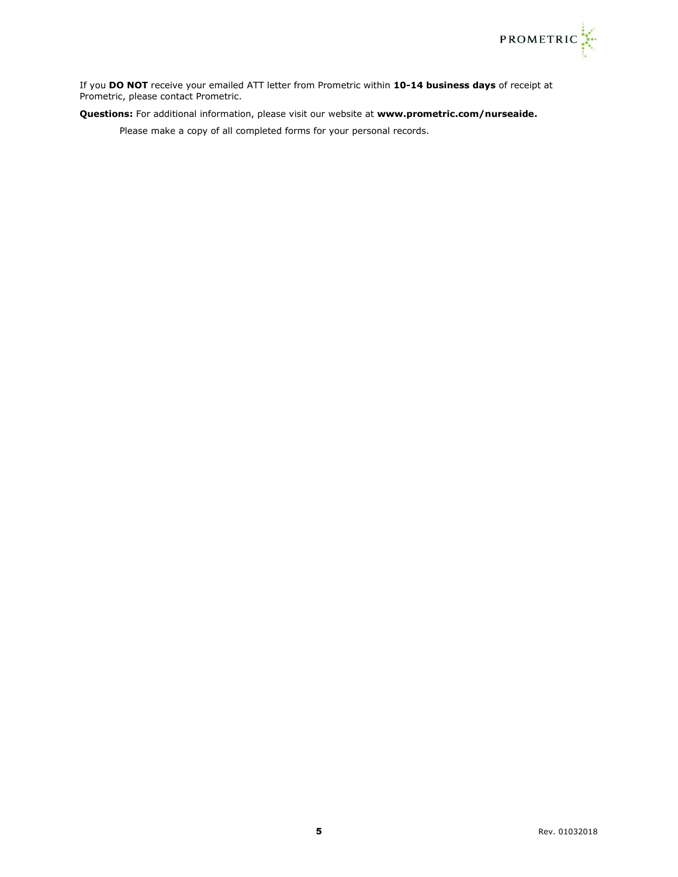

If you **DO NOT** receive your emailed ATT letter from Prometric within **10-14 business days** of receipt at Prometric, please contact Prometric.

**Questions:** For additional information, please visit our website at **[www.prometric.com/nurseaide.](http://www.prometric.com/nurseaide)**

Please make a copy of all completed forms for your personal records.